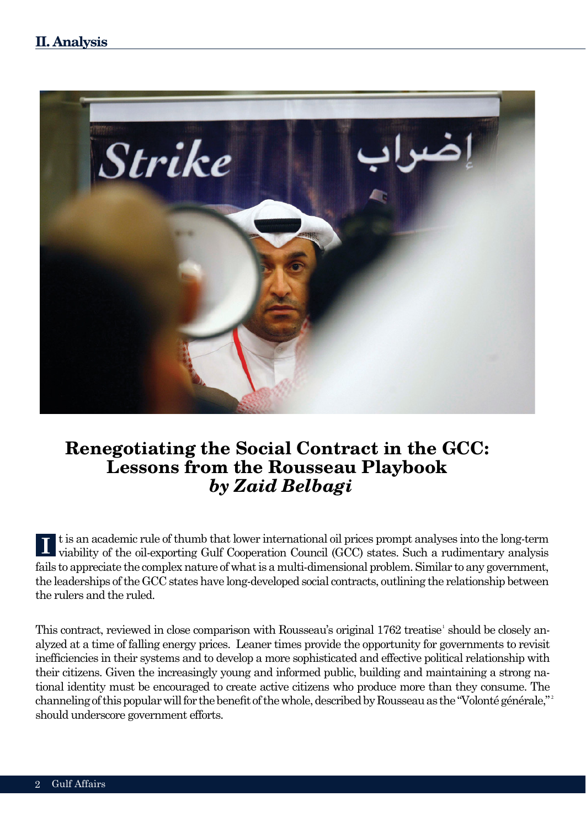

# **Renegotiating the Social Contract in the GCC: Lessons from the Rousseau Playbook** *by Zaid Belbagi*

t is an academic rule of thumb that lower international oil prices prompt analyses into the long-term viability of the oil-exporting Gulf Cooperation Council (GCC) states. Such a rudimentary analysis fails to appreciate the complex nature of what is a multi-dimensional problem. Similar to any government, the leaderships of the GCC states have long-developed social contracts, outlining the relationship between the rulers and the ruled.

This contract, reviewed in close comparison with Rousseau's original 1762 treatise' should be closely analyzed at a time of falling energy prices. Leaner times provide the opportunity for governments to revisit inefficiencies in their systems and to develop a more sophisticated and effective political relationship with their citizens. Given the increasingly young and informed public, building and maintaining a strong national identity must be encouraged to create active citizens who produce more than they consume. The channeling of this popular will for the benefit of the whole, described by Rousseau as the "Volonté générale," 2 should underscore government efforts.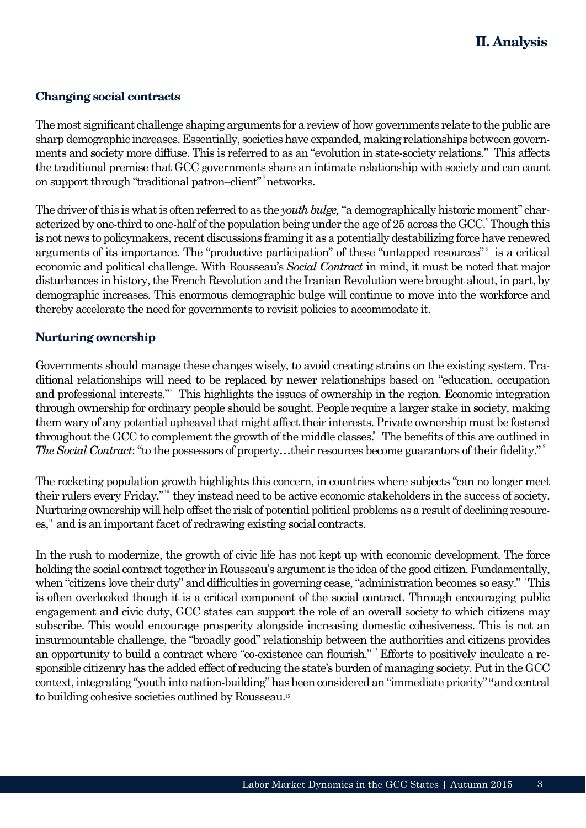## **Changing social contracts**

The most significant challenge shaping arguments for a review of how governments relate to the public are sharp demographic increases. Essentially, societies have expanded, making relationships between governments and society more diffuse. This is referred to as an "evolution in state-society relations." This affects 3 the traditional premise that GCC governments share an intimate relationship with society and can count on support through "traditional patron-client" networks.

The driver of this is what is often referred to as the *youth bulge,* "a demographically historic moment" characterized by one-third to one-half of the population being under the age of 25 across the GCC. Though this is not news to policymakers, recent discussions framing it as a potentially destabilizing force have renewed arguments of its importance. The "productive participation" of these "untapped resources" is a critical economic and political challenge. With Rousseau's *Social Contract* in mind, it must be noted that major disturbances in history, the French Revolution and the Iranian Revolution were brought about, in part, by demographic increases. This enormous demographic bulge will continue to move into the workforce and thereby accelerate the need for governments to revisit policies to accommodate it.

## **Nurturing ownership**

Governments should manage these changes wisely, to avoid creating strains on the existing system. Traditional relationships will need to be replaced by newer relationships based on "education, occupation and professional interests." This highlights the issues of ownership in the region. Economic integration through ownership for ordinary people should be sought. People require a larger stake in society, making them wary of any potential upheaval that might affect their interests. Private ownership must be fostered throughout the GCC to complement the growth of the middle classes. The benefits of this are outlined in The Social Contract: "to the possessors of property...their resources become guarantors of their fidelity."

The rocketing population growth highlights this concern, in countries where subjects "can no longer meet their rulers every Friday," they instead need to be active economic stakeholders in the success of society. Nurturing ownership will help offset the risk of potential political problems as a result of declining resourc $es<sup>11</sup>$  and is an important facet of redrawing existing social contracts.

In the rush to modernize, the growth of civic life has not kept up with economic development. The force holding the social contract together in Rousseau's argument is the idea of the good citizen. Fundamentally, when "citizens love their duty" and difficulties in governing cease, "administration becomes so easy."<sup>12</sup>This is often overlooked though it is a critical component of the social contract. Through encouraging public engagement and civic duty, GCC states can support the role of an overall society to which citizens may subscribe. This would encourage prosperity alongside increasing domestic cohesiveness. This is not an insurmountable challenge, the "broadly good" relationship between the authorities and citizens provides an opportunity to build a contract where "co-existence can flourish."<sup>13</sup> Efforts to positively inculcate a responsible citizenry has the added effect of reducing the state's burden of managing society. Put in the GCC context, integrating "youth into nation-building" has been considered an "immediate priority" <sup>14</sup> and central to building cohesive societies outlined by Rousseau.<sup>15</sup>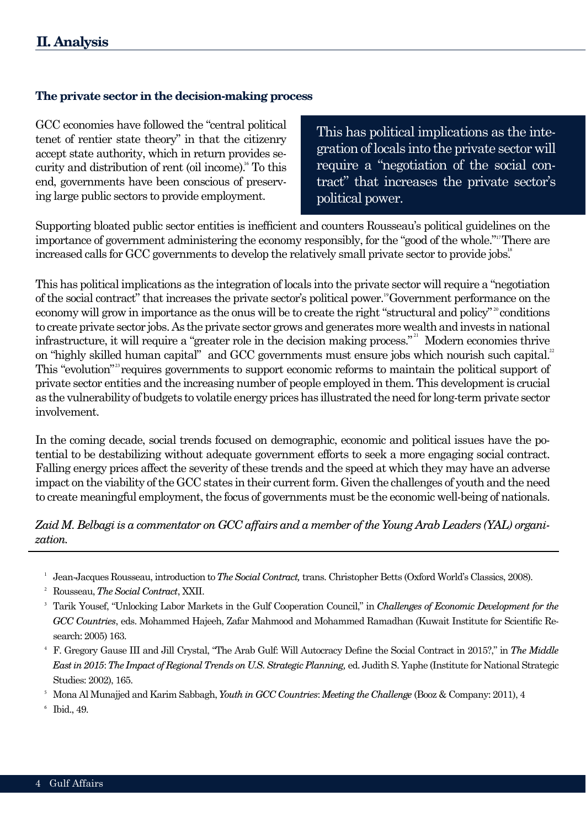#### **The private sector in the decision-making process**

GCC economies have followed the "central political tenet of rentier state theory" in that the citizenry accept state authority, which in return provides security and distribution of rent (oil income).<sup>16</sup> To this end, governments have been conscious of preserving large public sectors to provide employment.

This has political implications as the integration of locals into the private sector will require a "negotiation of the social contract" that increases the private sector's political power.

Supporting bloated public sector entities is inefficient and counters Rousseau's political guidelines on the importance of government administering the economy responsibly, for the "good of the whole."<sup>17</sup>There are increased calls for GCC governments to develop the relatively small private sector to provide jobs.<sup>8</sup>

This has political implications as the integration of locals into the private sector will require a "negotiation of the social contract" that increases the private sector's political power. "Government performance on the economy will grow in importance as the onus will be to create the right "structural and policy"<sup>20</sup> conditions to create private sector jobs. As the private sector grows and generates more wealth and invests in national infrastructure, it will require a "greater role in the decision making process." Modern economies thrive on "highly skilled human capital" and GCC governments must ensure jobs which nourish such capital.<sup>2</sup> This "evolution"<sup>23</sup> requires governments to support economic reforms to maintain the political support of private sector entities and the increasing number of people employed in them. This development is crucial as the vulnerability of budgets to volatile energy prices has illustrated the need for long-term private sector involvement.

In the coming decade, social trends focused on demographic, economic and political issues have the potential to be destabilizing without adequate government efforts to seek a more engaging social contract. Falling energy prices affect the severity of these trends and the speed at which they may have an adverse impact on the viability of the GCC states in their current form. Given the challenges of youth and the need to create meaningful employment, the focus of governments must be the economic well-being of nationals.

#### *Zaid M. Belbagi is a commentator on GCC affairs and a member of the Young Arab Leaders (YAL) organization.*

- Jean-Jacques Rousseau, introduction to *The Social Contract,* trans. Christopher Betts (Oxford World's Classics, 2008). 1
- Rousseau, *The Social Contract*, XXII. 2
- Tarik Yousef, "Unlocking Labor Markets in the Gulf Cooperation Council," in *Challenges of Economic Development for the GCC Countries*, eds. Mohammed Hajeeh, Zafar Mahmood and Mohammed Ramadhan (Kuwait Institute for Scientific Research: 2005) 163. 3
- F. Gregory Gause III and Jill Crystal, "The Arab Gulf: Will Autocracy Define the Social Contract in 2015?," in *The Middle East in 2015*: *The Impact of Regional Trends on U.S. Strategic Planning,* ed. Judith S. Yaphe (Institute for National Strategic Studies: 2002), 165. 4
- Mona Al Munajjed and Karim Sabbagh, *Youth in GCC Countries*: *Meeting the Challenge* (Booz & Company: 2011), 4 5
- Ibid., 49. 6